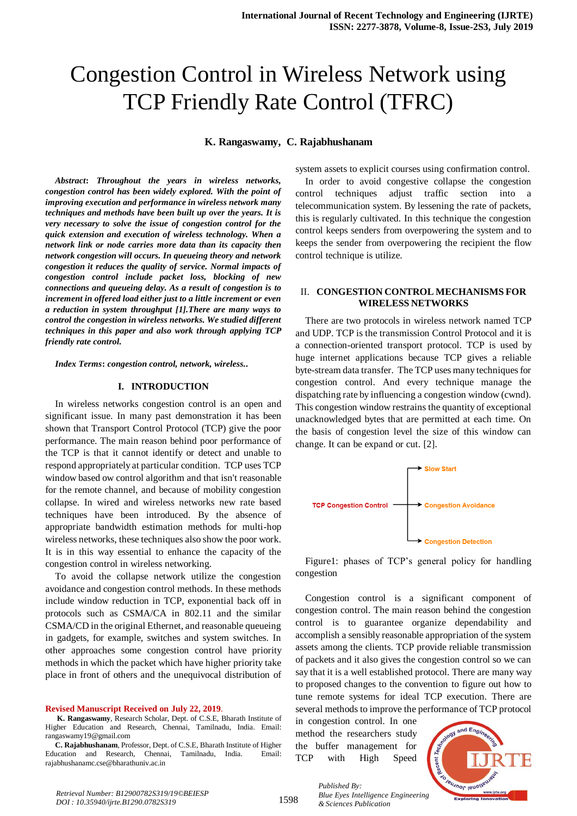# Congestion Control in Wireless Network using TCP Friendly Rate Control (TFRC)

**K. Rangaswamy, C. Rajabhushanam**

*Abstract***:** *Throughout the years in wireless networks, congestion control has been widely explored. With the point of improving execution and performance in wireless network many techniques and methods have been built up over the years. It is very necessary to solve the issue of congestion control for the quick extension and execution of wireless technology. When a network link or node carries more data than its capacity then network congestion will occurs. In queueing theory and network congestion it reduces the quality of service. Normal impacts of congestion control include packet loss, blocking of new connections and queueing delay. As a result of congestion is to increment in offered load either just to a little increment or even a reduction in system throughput [1].There are many ways to control the congestion in wireless networks. We studied different techniques in this paper and also work through applying TCP friendly rate control.*

*Index Terms***:** *congestion control, network, wireless..*

#### **I. INTRODUCTION**

In wireless networks congestion control is an open and significant issue. In many past demonstration it has been shown that Transport Control Protocol (TCP) give the poor performance. The main reason behind poor performance of the TCP is that it cannot identify or detect and unable to respond appropriately at particular condition. TCP uses TCP window based ow control algorithm and that isn't reasonable for the remote channel, and because of mobility congestion collapse. In wired and wireless networks new rate based techniques have been introduced. By the absence of appropriate bandwidth estimation methods for multi-hop wireless networks, these techniques also show the poor work. It is in this way essential to enhance the capacity of the congestion control in wireless networking.

To avoid the collapse network utilize the congestion avoidance and congestion control methods. In these methods include window reduction in TCP, exponential back off in protocols such as CSMA/CA in 802.11 and the similar CSMA/CD in the original Ethernet, and reasonable queueing in gadgets, for example, switches and system switches. In other approaches some congestion control have priority methods in which the packet which have higher priority take place in front of others and the unequivocal distribution of

**Revised Manuscript Received on July 22, 2019**.

system assets to explicit courses using confirmation control.

In order to avoid congestive collapse the congestion control techniques adjust traffic section into a telecommunication system. By lessening the rate of packets, this is regularly cultivated. In this technique the congestion control keeps senders from overpowering the system and to keeps the sender from overpowering the recipient the flow control technique is utilize.

## II. **CONGESTION CONTROL MECHANISMS FOR WIRELESS NETWORKS**

There are two protocols in wireless network named TCP and UDP. TCP is the transmission Control Protocol and it is a connection-oriented transport protocol. TCP is used by huge internet applications because TCP gives a reliable byte-stream data transfer. The TCP uses many techniques for congestion control. And every technique manage the dispatching rate by influencing a congestion window (cwnd). This congestion window restrains the quantity of exceptional unacknowledged bytes that are permitted at each time. On the basis of congestion level the size of this window can change. It can be expand or cut. [2].



Figure1: phases of TCP's general policy for handling congestion

Congestion control is a significant component of congestion control. The main reason behind the congestion control is to guarantee organize dependability and accomplish a sensibly reasonable appropriation of the system assets among the clients. TCP provide reliable transmission of packets and it also gives the congestion control so we can say that it is a well established protocol. There are many way to proposed changes to the convention to figure out how to tune remote systems for ideal TCP execution. There are several methods to improve the performance of TCP protocol

in congestion control. In one method the researchers study the buffer management for TCP with High Speed



*Retrieval Number: B12900782S319/19©BEIESP DOI : 10.35940/ijrte.B1290.0782S319*

*Published By: Blue Eyes Intelligence Engineering & Sciences Publication* 

**K. Rangaswamy**, Research Scholar, Dept. of C.S.E, Bharath Institute of Higher Education and Research, Chennai, Tamilnadu, India. Email: rangaswamy19@gmail.com

**C. Rajabhushanam**, Professor, Dept. of C.S.E, Bharath Institute of Higher Education and Research, Chennai, Tamilnadu, India. Email: rajabhushanamc.cse@bharathuniv.ac.in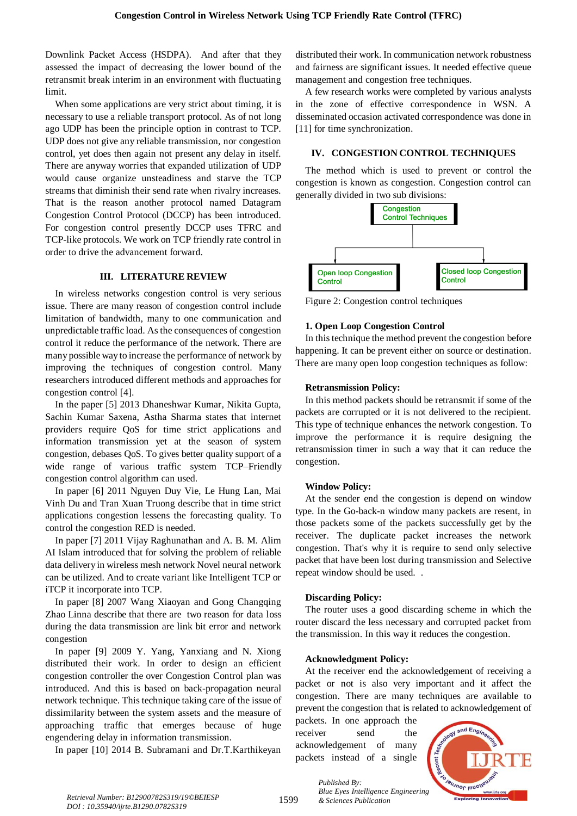Downlink Packet Access (HSDPA). And after that they assessed the impact of decreasing the lower bound of the retransmit break interim in an environment with fluctuating limit.

When some applications are very strict about timing, it is necessary to use a reliable transport protocol. As of not long ago UDP has been the principle option in contrast to TCP. UDP does not give any reliable transmission, nor congestion control, yet does then again not present any delay in itself. There are anyway worries that expanded utilization of UDP would cause organize unsteadiness and starve the TCP streams that diminish their send rate when rivalry increases. That is the reason another protocol named Datagram Congestion Control Protocol (DCCP) has been introduced. For congestion control presently DCCP uses TFRC and TCP-like protocols. We work on TCP friendly rate control in order to drive the advancement forward.

## **III. LITERATURE REVIEW**

In wireless networks congestion control is very serious issue. There are many reason of congestion control include limitation of bandwidth, many to one communication and unpredictable traffic load. As the consequences of congestion control it reduce the performance of the network. There are many possible way to increase the performance of network by improving the techniques of congestion control. Many researchers introduced different methods and approaches for congestion control [4].

In the paper [5] 2013 Dhaneshwar Kumar, Nikita Gupta, Sachin Kumar Saxena, Astha Sharma states that internet providers require QoS for time strict applications and information transmission yet at the season of system congestion, debases QoS. To gives better quality support of a wide range of various traffic system TCP–Friendly congestion control algorithm can used.

In paper [6] 2011 Nguyen Duy Vie, Le Hung Lan, Mai Vinh Du and Tran Xuan Truong describe that in time strict applications congestion lessens the forecasting quality. To control the congestion RED is needed.

In paper [7] 2011 Vijay Raghunathan and A. B. M. Alim AI Islam introduced that for solving the problem of reliable data delivery in wireless mesh network Novel neural network can be utilized. And to create variant like Intelligent TCP or iTCP it incorporate into TCP.

In paper [8] 2007 Wang Xiaoyan and Gong Changqing Zhao Linna describe that there are two reason for data loss during the data transmission are link bit error and network congestion

In paper [9] 2009 Y. Yang, Yanxiang and N. Xiong distributed their work. In order to design an efficient congestion controller the over Congestion Control plan was introduced. And this is based on back-propagation neural network technique. This technique taking care of the issue of dissimilarity between the system assets and the measure of approaching traffic that emerges because of huge engendering delay in information transmission.

In paper [10] 2014 B. Subramani and Dr.T.Karthikeyan

distributed their work. In communication network robustness and fairness are significant issues. It needed effective queue management and congestion free techniques.

A few research works were completed by various analysts in the zone of effective correspondence in WSN. A disseminated occasion activated correspondence was done in [11] for time synchronization.

# **IV. CONGESTION CONTROL TECHNIQUES**

The method which is used to prevent or control the congestion is known as congestion. Congestion control can generally divided in two sub divisions:



Figure 2: Congestion control techniques

# **1. Open Loop Congestion Control**

In this technique the method prevent the congestion before happening. It can be prevent either on source or destination. There are many open loop congestion techniques as follow:

# **Retransmission Policy:**

In this method packets should be retransmit if some of the packets are corrupted or it is not delivered to the recipient. This type of technique enhances the network congestion. To improve the performance it is require designing the retransmission timer in such a way that it can reduce the congestion.

## **Window Policy:**

At the sender end the congestion is depend on window type. In the Go-back-n window many packets are resent, in those packets some of the packets successfully get by the receiver. The duplicate packet increases the network congestion. That's why it is require to send only selective packet that have been lost during transmission and Selective repeat window should be used. .

# **Discarding Policy:**

The router uses a good discarding scheme in which the router discard the less necessary and corrupted packet from the transmission. In this way it reduces the congestion.

# **Acknowledgment Policy:**

At the receiver end the acknowledgement of receiving a packet or not is also very important and it affect the congestion. There are many techniques are available to prevent the congestion that is related to acknowledgement of

packets. In one approach the receiver send the acknowledgement of many packets instead of a single



*& Sciences Publication Retrieval Number: B12900782S319/19©BEIESP DOI : 10.35940/ijrte.B1290.0782S319*

1599

*Published By: Blue Eyes Intelligence Engineering*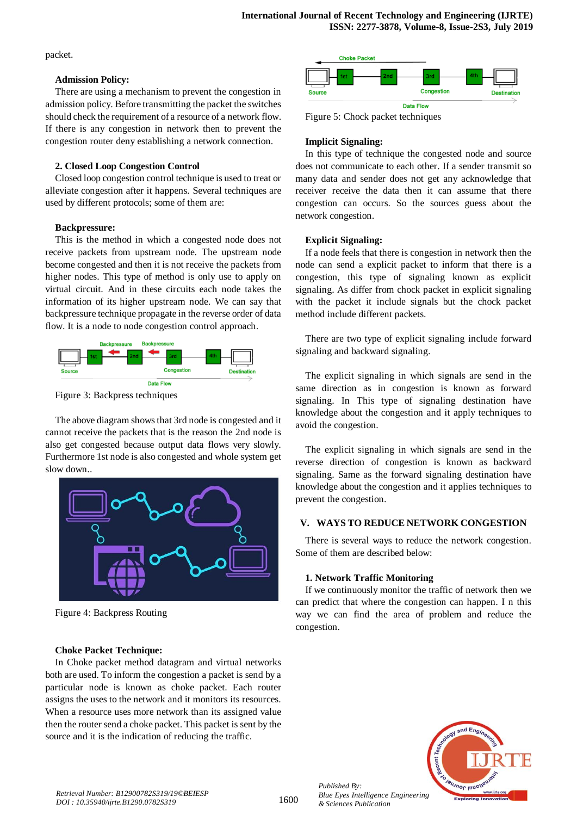packet.

## **Admission Policy:**

There are using a mechanism to prevent the congestion in admission policy. Before transmitting the packet the switches should check the requirement of a resource of a network flow. If there is any congestion in network then to prevent the congestion router deny establishing a network connection.

## **2. Closed Loop Congestion Control**

Closed loop congestion control technique is used to treat or alleviate congestion after it happens. Several techniques are used by different protocols; some of them are:

# **Backpressure:**

This is the method in which a congested node does not receive packets from upstream node. The upstream node become congested and then it is not receive the packets from higher nodes. This type of method is only use to apply on virtual circuit. And in these circuits each node takes the information of its higher upstream node. We can say that backpressure technique propagate in the reverse order of data flow. It is a node to node congestion control approach.



Figure 3: Backpress techniques

The above diagram shows that 3rd node is congested and it cannot receive the packets that is the reason the 2nd node is also get congested because output data flows very slowly. Furthermore 1st node is also congested and whole system get slow down..



Figure 4: Backpress Routing

## **Choke Packet Technique:**

In Choke packet method datagram and virtual networks both are used. To inform the congestion a packet is send by a particular node is known as choke packet. Each router assigns the uses to the network and it monitors its resources. When a resource uses more network than its assigned value then the router send a choke packet. This packet is sent by the source and it is the indication of reducing the traffic.



Figure 5: Chock packet techniques

# **Implicit Signaling:**

In this type of technique the congested node and source does not communicate to each other. If a sender transmit so many data and sender does not get any acknowledge that receiver receive the data then it can assume that there congestion can occurs. So the sources guess about the network congestion.

# **Explicit Signaling:**

If a node feels that there is congestion in network then the node can send a explicit packet to inform that there is a congestion, this type of signaling known as explicit signaling. As differ from chock packet in explicit signaling with the packet it include signals but the chock packet method include different packets.

There are two type of explicit signaling include forward signaling and backward signaling.

The explicit signaling in which signals are send in the same direction as in congestion is known as forward signaling. In This type of signaling destination have knowledge about the congestion and it apply techniques to avoid the congestion.

The explicit signaling in which signals are send in the reverse direction of congestion is known as backward signaling. Same as the forward signaling destination have knowledge about the congestion and it applies techniques to prevent the congestion.

# **V. WAYS TO REDUCE NETWORK CONGESTION**

There is several ways to reduce the network congestion. Some of them are described below:

# **1. Network Traffic Monitoring**

If we continuously monitor the traffic of network then we can predict that where the congestion can happen. I n this way we can find the area of problem and reduce the congestion.



*Published By: Blue Eyes Intelligence Engineering & Sciences Publication*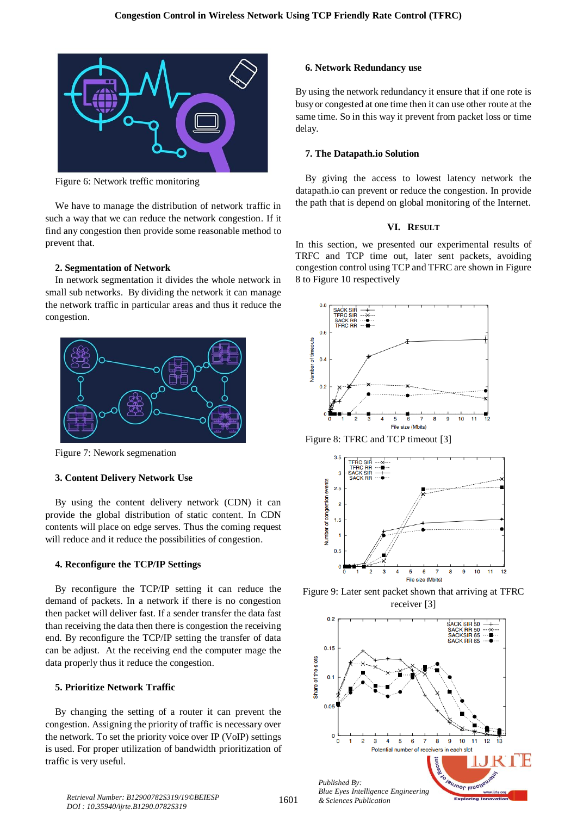

Figure 6: Network treffic monitoring

We have to manage the distribution of network traffic in such a way that we can reduce the network congestion. If it find any congestion then provide some reasonable method to prevent that.

#### **2. Segmentation of Network**

In network segmentation it divides the whole network in small sub networks. By dividing the network it can manage the network traffic in particular areas and thus it reduce the congestion.



Figure 7: Nework segmenation

#### **3. Content Delivery Network Use**

By using the content delivery network (CDN) it can provide the global distribution of static content. In CDN contents will place on edge serves. Thus the coming request will reduce and it reduce the possibilities of congestion.

#### **4. Reconfigure the TCP/IP Settings**

By reconfigure the TCP/IP setting it can reduce the demand of packets. In a network if there is no congestion then packet will deliver fast. If a sender transfer the data fast than receiving the data then there is congestion the receiving end. By reconfigure the TCP/IP setting the transfer of data can be adjust. At the receiving end the computer mage the data properly thus it reduce the congestion.

#### **5. Prioritize Network Traffic**

By changing the setting of a router it can prevent the congestion. Assigning the priority of traffic is necessary over the network. To set the priority voice over IP (VoIP) settings is used. For proper utilization of bandwidth prioritization of traffic is very useful.

#### **6. Network Redundancy use**

By using the network redundancy it ensure that if one rote is busy or congested at one time then it can use other route at the same time. So in this way it prevent from packet loss or time delay.

#### **7. The Datapath.io Solution**

By giving the access to lowest latency network the datapath.io can prevent or reduce the congestion. In provide the path that is depend on global monitoring of the Internet.

## **VI. RESULT**

In this section, we presented our experimental results of TRFC and TCP time out, later sent packets, avoiding congestion control using TCP and TFRC are shown in Figure 8 to Figure 10 respectively







Figure 9: Later sent packet shown that arriving at TFRC receiver [3]



*& Sciences Publication Retrieval Number: B12900782S319/19©BEIESP DOI : 10.35940/ijrte.B1290.0782S319*